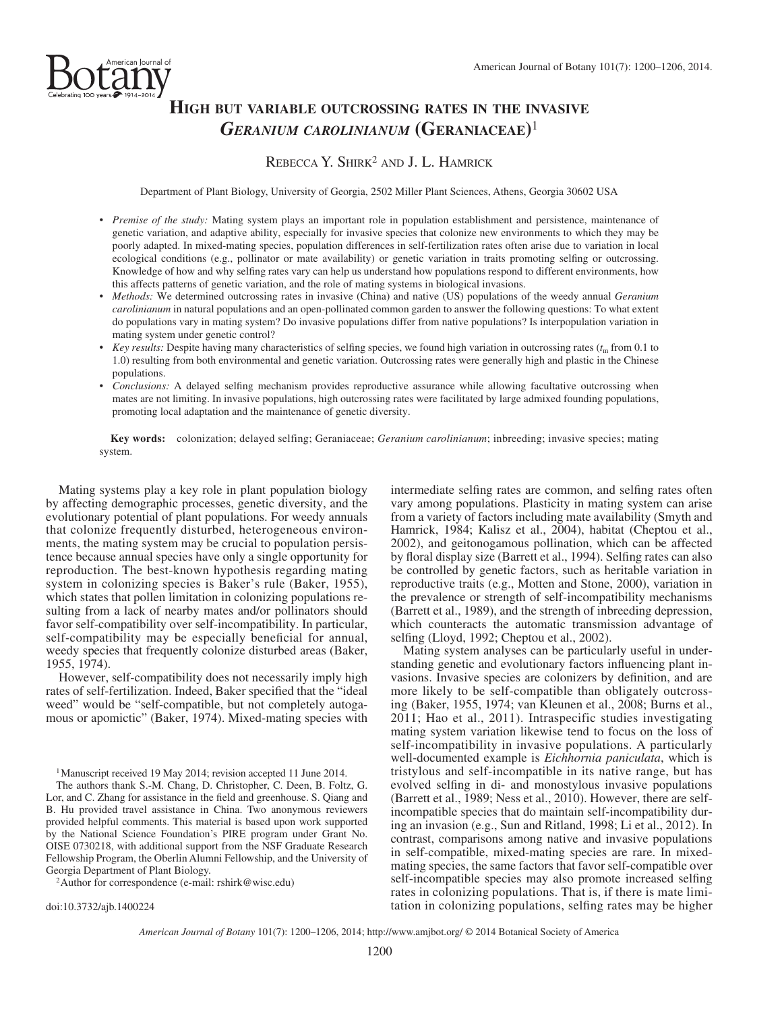

# **HIGH BUT VARIABLE OUTCROSSING RATES IN THE INVASIVE**  *GERANIUM CAROLINIANUM* **(GERANIACEAE)** <sup>1</sup>

## REBECCA Y. SHIRK<sup>2</sup> AND J. L. HAMRICK

Department of Plant Biology, University of Georgia, 2502 Miller Plant Sciences, Athens, Georgia 30602 USA

- *Premise of the study:* Mating system plays an important role in population establishment and persistence, maintenance of genetic variation, and adaptive ability, especially for invasive species that colonize new environments to which they may be poorly adapted. In mixed-mating species, population differences in self-fertilization rates often arise due to variation in local ecological conditions (e.g., pollinator or mate availability) or genetic variation in traits promoting selfing or outcrossing. Knowledge of how and why selfing rates vary can help us understand how populations respond to different environments, how this affects patterns of genetic variation, and the role of mating systems in biological invasions.
- *Methods:* We determined outcrossing rates in invasive (China) and native (US) populations of the weedy annual *Geranium carolinianum* in natural populations and an open-pollinated common garden to answer the following questions: To what extent do populations vary in mating system? Do invasive populations differ from native populations? Is interpopulation variation in mating system under genetic control?
- *Key results:* Despite having many characteristics of selfing species, we found high variation in outcrossing rates  $(t<sub>m</sub>$  from 0.1 to 1.0) resulting from both environmental and genetic variation. Outcrossing rates were generally high and plastic in the Chinese populations.
- *Conclusions:* A delayed selfing mechanism provides reproductive assurance while allowing facultative outcrossing when mates are not limiting. In invasive populations, high outcrossing rates were facilitated by large admixed founding populations, promoting local adaptation and the maintenance of genetic diversity.

 **Key words:** colonization; delayed selfing; Geraniaceae; *Geranium carolinianum* ; inbreeding; invasive species; mating system.

 Mating systems play a key role in plant population biology by affecting demographic processes, genetic diversity, and the evolutionary potential of plant populations. For weedy annuals that colonize frequently disturbed, heterogeneous environments, the mating system may be crucial to population persistence because annual species have only a single opportunity for reproduction. The best-known hypothesis regarding mating system in colonizing species is Baker's rule (Baker, 1955), which states that pollen limitation in colonizing populations resulting from a lack of nearby mates and/or pollinators should favor self-compatibility over self-incompatibility. In particular, self-compatibility may be especially beneficial for annual, weedy species that frequently colonize disturbed areas (Baker, 1955 , 1974 ).

 However, self-compatibility does not necessarily imply high rates of self-fertilization. Indeed, Baker specified that the "ideal" weed" would be "self-compatible, but not completely autogamous or apomictic" (Baker, 1974). Mixed-mating species with

1 Manuscript received 19 May 2014; revision accepted 11 June 2014.

 The authors thank S.-M. Chang, D. Christopher, C. Deen, B. Foltz, G. Lor, and C. Zhang for assistance in the field and greenhouse. S. Qiang and B. Hu provided travel assistance in China. Two anonymous reviewers provided helpful comments. This material is based upon work supported by the National Science Foundation's PIRE program under Grant No. OISE 0730218, with additional support from the NSF Graduate Research Fellowship Program, the Oberlin Alumni Fellowship, and the University of

<sup>2</sup> Author for correspondence (e-mail: rshirk@wisc.edu)

doi:10.3732/ajb.1400224

intermediate selfing rates are common, and selfing rates often vary among populations. Plasticity in mating system can arise from a variety of factors including mate availability ( Smyth and Hamrick, 1984; Kalisz et al., 2004), habitat (Cheptou et al., 2002), and geitonogamous pollination, which can be affected by floral display size (Barrett et al., 1994). Selfing rates can also be controlled by genetic factors, such as heritable variation in reproductive traits (e.g., Motten and Stone, 2000), variation in the prevalence or strength of self-incompatibility mechanisms (Barrett et al., 1989), and the strength of inbreeding depression, which counteracts the automatic transmission advantage of selfing (Lloyd, 1992; Cheptou et al., 2002).

 Mating system analyses can be particularly useful in understanding genetic and evolutionary factors influencing plant invasions. Invasive species are colonizers by definition, and are more likely to be self-compatible than obligately outcrossing (Baker, 1955, 1974; van Kleunen et al., 2008; Burns et al., 2011; Hao et al., 2011). Intraspecific studies investigating mating system variation likewise tend to focus on the loss of self-incompatibility in invasive populations. A particularly well-documented example is *Eichhornia paniculata*, which is tristylous and self-incompatible in its native range, but has evolved selfing in di- and monostylous invasive populations (Barrett et al., 1989; Ness et al., 2010). However, there are selfincompatible species that do maintain self-incompatibility during an invasion (e.g., Sun and Ritland, 1998; Li et al., 2012). In contrast, comparisons among native and invasive populations in self-compatible, mixed-mating species are rare. In mixedmating species, the same factors that favor self-compatible over self-incompatible species may also promote increased selfing rates in colonizing populations. That is, if there is mate limitation in colonizing populations, selfing rates may be higher

*American Journal of Botany* 101(7): 1200-1206, 2014; http://www.amjbot.org/ © 2014 Botanical Society of America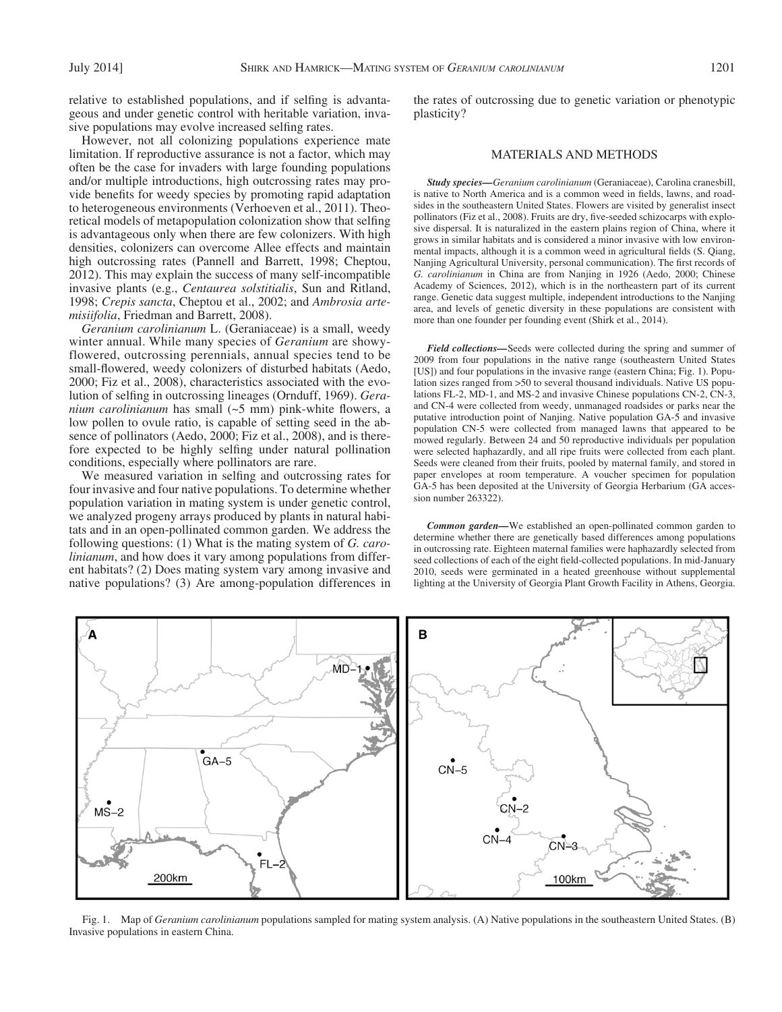relative to established populations, and if selfing is advantageous and under genetic control with heritable variation, invasive populations may evolve increased selfing rates.

 However, not all colonizing populations experience mate limitation. If reproductive assurance is not a factor, which may often be the case for invaders with large founding populations and/or multiple introductions, high outcrossing rates may provide benefits for weedy species by promoting rapid adaptation to heterogeneous environments ( Verhoeven et al., 2011 ). Theoretical models of metapopulation colonization show that selfing is advantageous only when there are few colonizers. With high densities, colonizers can overcome Allee effects and maintain high outcrossing rates (Pannell and Barrett, 1998; Cheptou, 2012 ). This may explain the success of many self-incompatible invasive plants (e.g., *Centaurea solstitialis* , Sun and Ritland, 1998; Crepis sancta, Cheptou et al., 2002; and Ambrosia arte*misiifolia* , Friedman and Barrett, 2008 ).

*Geranium carolinianum* L. (Geraniaceae) is a small, weedy winter annual. While many species of *Geranium* are showyflowered, outcrossing perennials, annual species tend to be small-flowered, weedy colonizers of disturbed habitats (Aedo, 2000; Fiz et al., 2008), characteristics associated with the evolution of selfing in outcrossing lineages (Ornduff, 1969). *Geranium carolinianum* has small  $(-5 \text{ mm})$  pink-white flowers, a low pollen to ovule ratio, is capable of setting seed in the absence of pollinators (Aedo, 2000; Fiz et al., 2008), and is therefore expected to be highly selfing under natural pollination conditions, especially where pollinators are rare.

We measured variation in selfing and outcrossing rates for four invasive and four native populations. To determine whether population variation in mating system is under genetic control, we analyzed progeny arrays produced by plants in natural habitats and in an open-pollinated common garden. We address the following questions: (1) What is the mating system of *G. carolinianum* , and how does it vary among populations from different habitats? (2) Does mating system vary among invasive and native populations? (3) Are among-population differences in

the rates of outcrossing due to genetic variation or phenotypic plasticity?

### MATERIALS AND METHODS

*Study species — Geranium carolinianum* (Geraniaceae), Carolina cranesbill, is native to North America and is a common weed in fields, lawns, and roadsides in the southeastern United States. Flowers are visited by generalist insect pollinators (Fiz et al., 2008). Fruits are dry, five-seeded schizocarps with explosive dispersal. It is naturalized in the eastern plains region of China, where it grows in similar habitats and is considered a minor invasive with low environmental impacts, although it is a common weed in agricultural fields (S. Qiang, Nanjing Agricultural University, personal communication). The first records of *G. carolinianum* in China are from Nanjing in 1926 (Aedo, 2000; Chinese Academy of Sciences, 2012), which is in the northeastern part of its current range. Genetic data suggest multiple, independent introductions to the Nanjing area, and levels of genetic diversity in these populations are consistent with more than one founder per founding event (Shirk et al., 2014).

*Field collections —* Seeds were collected during the spring and summer of 2009 from four populations in the native range (southeastern United States [US]) and four populations in the invasive range (eastern China; Fig. 1). Population sizes ranged from >50 to several thousand individuals. Native US populations FL-2, MD-1, and MS-2 and invasive Chinese populations CN-2, CN-3, and CN-4 were collected from weedy, unmanaged roadsides or parks near the putative introduction point of Nanjing. Native population GA-5 and invasive population CN-5 were collected from managed lawns that appeared to be mowed regularly. Between 24 and 50 reproductive individuals per population were selected haphazardly, and all ripe fruits were collected from each plant. Seeds were cleaned from their fruits, pooled by maternal family, and stored in paper envelopes at room temperature. A voucher specimen for population GA-5 has been deposited at the University of Georgia Herbarium (GA accession number 263322).

*Common garden —* We established an open-pollinated common garden to determine whether there are genetically based differences among populations in outcrossing rate. Eighteen maternal families were haphazardly selected from seed collections of each of the eight field-collected populations. In mid-January 2010, seeds were germinated in a heated greenhouse without supplemental lighting at the University of Georgia Plant Growth Facility in Athens, Georgia.



 Fig. 1. Map of *Geranium carolinianum* populations sampled for mating system analysis. (A) Native populations in the southeastern United States. (B) Invasive populations in eastern China.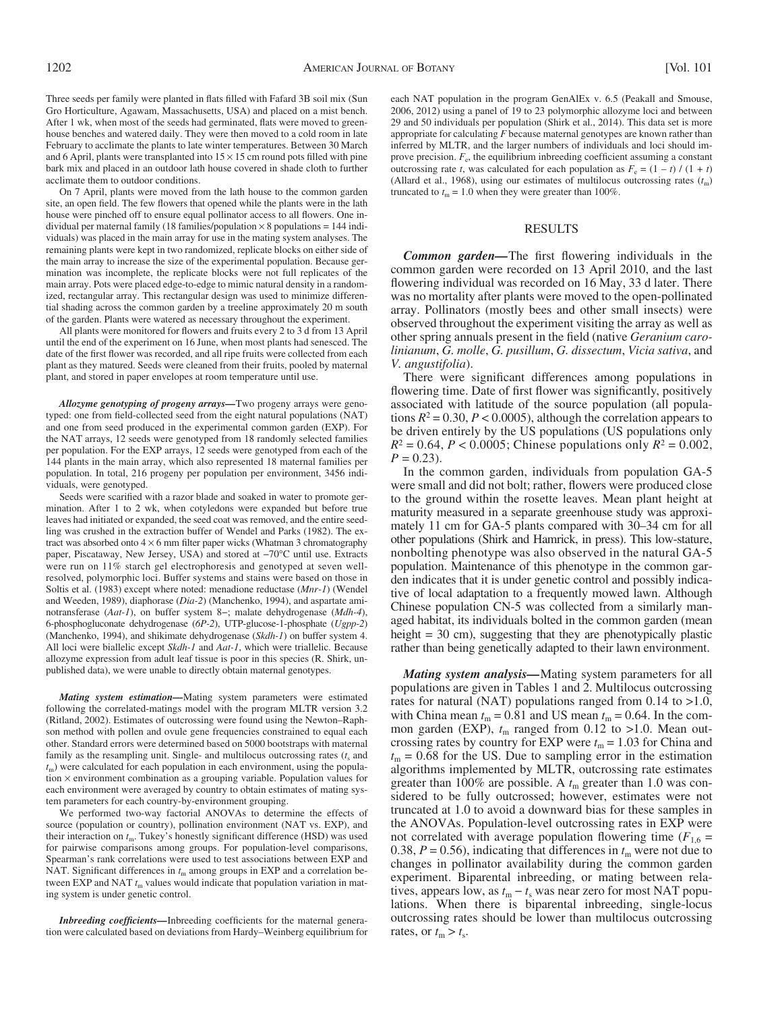Three seeds per family were planted in flats filled with Fafard 3B soil mix (Sun Gro Horticulture, Agawam, Massachusetts, USA) and placed on a mist bench. After 1 wk, when most of the seeds had germinated, flats were moved to greenhouse benches and watered daily. They were then moved to a cold room in late February to acclimate the plants to late winter temperatures. Between 30 March and 6 April, plants were transplanted into  $15 \times 15$  cm round pots filled with pine bark mix and placed in an outdoor lath house covered in shade cloth to further acclimate them to outdoor conditions.

 On 7 April, plants were moved from the lath house to the common garden site, an open field. The few flowers that opened while the plants were in the lath house were pinched off to ensure equal pollinator access to all flowers. One individual per maternal family (18 families/population  $\times$  8 populations = 144 individuals) was placed in the main array for use in the mating system analyses. The remaining plants were kept in two randomized, replicate blocks on either side of the main array to increase the size of the experimental population. Because germination was incomplete, the replicate blocks were not full replicates of the main array. Pots were placed edge-to-edge to mimic natural density in a randomized, rectangular array. This rectangular design was used to minimize differential shading across the common garden by a treeline approximately 20 m south of the garden. Plants were watered as necessary throughout the experiment.

All plants were monitored for flowers and fruits every 2 to 3 d from 13 April until the end of the experiment on 16 June, when most plants had senesced. The date of the first flower was recorded, and all ripe fruits were collected from each plant as they matured. Seeds were cleaned from their fruits, pooled by maternal plant, and stored in paper envelopes at room temperature until use.

*Allozyme genotyping of progeny arrays —* Two progeny arrays were genotyped: one from field-collected seed from the eight natural populations (NAT) and one from seed produced in the experimental common garden (EXP). For the NAT arrays, 12 seeds were genotyped from 18 randomly selected families per population. For the EXP arrays, 12 seeds were genotyped from each of the 144 plants in the main array, which also represented 18 maternal families per population. In total, 216 progeny per population per environment, 3456 individuals, were genotyped.

Seeds were scarified with a razor blade and soaked in water to promote germination. After 1 to 2 wk, when cotyledons were expanded but before true leaves had initiated or expanded, the seed coat was removed, and the entire seedling was crushed in the extraction buffer of Wendel and Parks (1982). The extract was absorbed onto  $4 \times 6$  mm filter paper wicks (Whatman 3 chromatography paper, Piscataway, New Jersey, USA) and stored at -70°C until use. Extracts were run on 11% starch gel electrophoresis and genotyped at seven wellresolved, polymorphic loci. Buffer systems and stains were based on those in Soltis et al. (1983) except where noted: menadione reductase (*Mnr-1*) (Wendel and Weeden, 1989), diaphorase (*Dia-2*) (Manchenko, 1994), and aspartate aminotransferase (Aat-1), on buffer system 8-; malate dehydrogenase (Mdh-4), 6-phosphogluconate dehydrogenase ( *6P-2* ), UTP-glucose-1-phosphate ( *Ugpp-2* ) (Manchenko, 1994), and shikimate dehydrogenase (Skdh-1) on buffer system 4. All loci were biallelic except *Skdh-1* and *Aat-1* , which were triallelic. Because allozyme expression from adult leaf tissue is poor in this species (R. Shirk, unpublished data), we were unable to directly obtain maternal genotypes.

*Mating system estimation —* Mating system parameters were estimated following the correlated-matings model with the program MLTR version 3.2 (Ritland, 2002). Estimates of outcrossing were found using the Newton–Raphson method with pollen and ovule gene frequencies constrained to equal each other. Standard errors were determined based on 5000 bootstraps with maternal family as the resampling unit. Single- and multilocus outcrossing rates  $(t_s)$  and  $t_{\rm m}$ ) were calculated for each population in each environment, using the population  $\times$  environment combination as a grouping variable. Population values for each environment were averaged by country to obtain estimates of mating system parameters for each country-by-environment grouping.

 We performed two-way factorial ANOVAs to determine the effects of source (population or country), pollination environment (NAT vs. EXP), and their interaction on  $t_m$ . Tukey's honestly significant difference (HSD) was used for pairwise comparisons among groups. For population-level comparisons, Spearman's rank correlations were used to test associations between EXP and NAT. Significant differences in  $t_m$  among groups in EXP and a correlation between EXP and NAT  $t<sub>m</sub>$  values would indicate that population variation in mating system is under genetic control.

*Inbreeding coefficients*—Inbreeding coefficients for the maternal generation were calculated based on deviations from Hardy–Weinberg equilibrium for each NAT population in the program GenAlEx v. 6.5 (Peakall and Smouse, 2006, 2012) using a panel of 19 to 23 polymorphic allozyme loci and between 29 and 50 individuals per population ( Shirk et al., 2014 ). This data set is more appropriate for calculating *F* because maternal genotypes are known rather than inferred by MLTR, and the larger numbers of individuals and loci should improve precision.  $F_e$ , the equilibrium inbreeding coefficient assuming a constant outcrossing rate *t*, was calculated for each population as  $F_e = (1 - t) / (1 + t)$ (Allard et al., 1968), using our estimates of multilocus outcrossing rates  $(t<sub>m</sub>)$ truncated to  $t_m = 1.0$  when they were greater than 100%.

#### RESULTS

*Common garden***—** The first flowering individuals in the common garden were recorded on 13 April 2010, and the last flowering individual was recorded on 16 May, 33 d later. There was no mortality after plants were moved to the open-pollinated array. Pollinators (mostly bees and other small insects) were observed throughout the experiment visiting the array as well as other spring annuals present in the field (native *Geranium carolinianum* , *G. molle* , *G. pusillum* , *G. dissectum* , *Vicia sativa* , and *V. angustifolia* ).

There were significant differences among populations in flowering time. Date of first flower was significantly, positively associated with latitude of the source population (all populations  $R^2 = 0.30$ ,  $P < 0.0005$ ), although the correlation appears to be driven entirely by the US populations (US populations only  $R^2 = 0.64$ ,  $P < 0.0005$ ; Chinese populations only  $R^2 = 0.002$ ,  $P = 0.23$ .

 In the common garden, individuals from population GA-5 were small and did not bolt; rather, flowers were produced close to the ground within the rosette leaves. Mean plant height at maturity measured in a separate greenhouse study was approximately 11 cm for GA-5 plants compared with 30–34 cm for all other populations (Shirk and Hamrick, in press). This low-stature, nonbolting phenotype was also observed in the natural GA-5 population. Maintenance of this phenotype in the common garden indicates that it is under genetic control and possibly indicative of local adaptation to a frequently mowed lawn. Although Chinese population CN-5 was collected from a similarly managed habitat, its individuals bolted in the common garden (mean height = 30 cm), suggesting that they are phenotypically plastic rather than being genetically adapted to their lawn environment.

*Mating system analysis —* Mating system parameters for all populations are given in Tables 1 and 2 . Multilocus outcrossing rates for natural (NAT) populations ranged from  $0.14$  to  $>1.0$ , with China mean  $t_m = 0.81$  and US mean  $t_m = 0.64$ . In the common garden (EXP),  $t_m$  ranged from 0.12 to >1.0. Mean outcrossing rates by country for EXP were  $t_m = 1.03$  for China and  $t_{\rm m}$  = 0.68 for the US. Due to sampling error in the estimation algorithms implemented by MLTR, outcrossing rate estimates greater than 100% are possible. A  $t<sub>m</sub>$  greater than 1.0 was considered to be fully outcrossed; however, estimates were not truncated at 1.0 to avoid a downward bias for these samples in the ANOVAs. Population-level outcrossing rates in EXP were not correlated with average population flowering time  $(F_{1,6} =$ 0.38,  $P = 0.56$ ), indicating that differences in  $t<sub>m</sub>$  were not due to changes in pollinator availability during the common garden experiment. Biparental inbreeding, or mating between relatives, appears low, as  $t_m - t_s$  was near zero for most NAT populations. When there is biparental inbreeding, single-locus outcrossing rates should be lower than multilocus outcrossing rates, or  $t_m > t_s$ .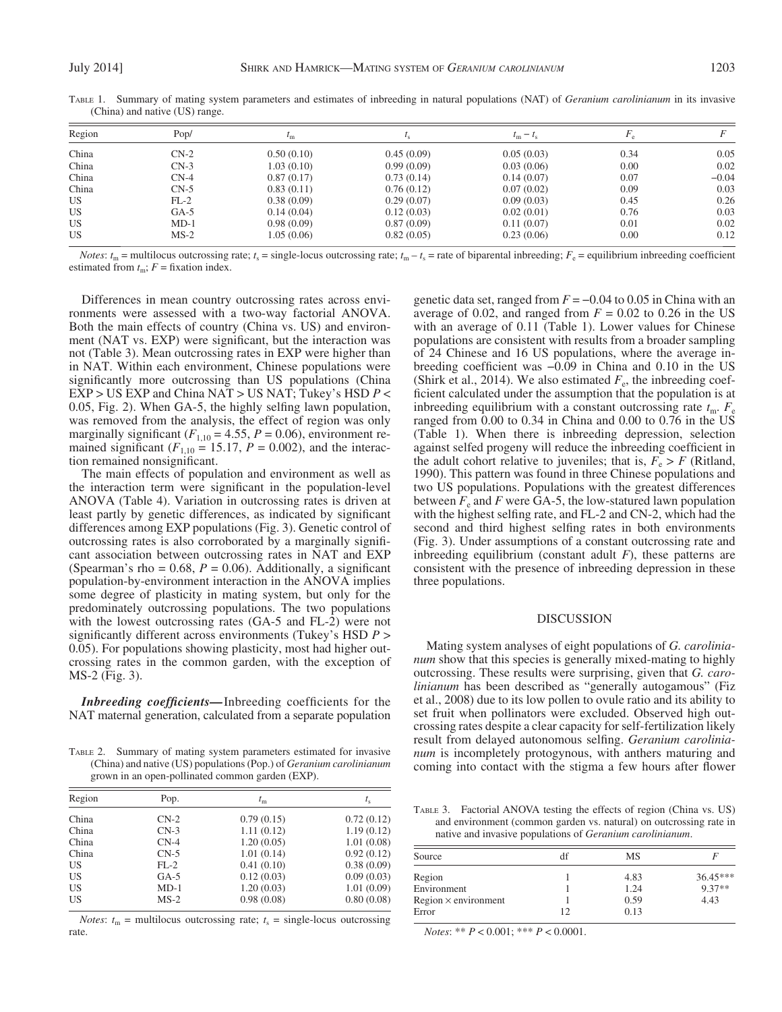| Region    | Pop/   | $\iota_{m}$ |            | $t_{\rm m}-t_{\rm s}$ |      |         |
|-----------|--------|-------------|------------|-----------------------|------|---------|
| China     | $CN-2$ | 0.50(0.10)  | 0.45(0.09) | 0.05(0.03)            | 0.34 | 0.05    |
| China     | $CN-3$ | 1.03(0.10)  | 0.99(0.09) | 0.03(0.06)            | 0.00 | 0.02    |
| China     | $CN-4$ | 0.87(0.17)  | 0.73(0.14) | 0.14(0.07)            | 0.07 | $-0.04$ |
| China     | $CN-5$ | 0.83(0.11)  | 0.76(0.12) | 0.07(0.02)            | 0.09 | 0.03    |
| US.       | $FL-2$ | 0.38(0.09)  | 0.29(0.07) | 0.09(0.03)            | 0.45 | 0.26    |
| US        | $GA-5$ | 0.14(0.04)  | 0.12(0.03) | 0.02(0.01)            | 0.76 | 0.03    |
| US.       | $MD-1$ | 0.98(0.09)  | 0.87(0.09) | 0.11(0.07)            | 0.01 | 0.02    |
| <b>US</b> | $MS-2$ | 1.05(0.06)  | 0.82(0.05) | 0.23(0.06)            | 0.00 | 0.12    |

 TABLE 1. Summary of mating system parameters and estimates of inbreeding in natural populations (NAT) of *Geranium carolinianum* in its invasive (China) and native (US) range.

*Notes:*  $t_m$  = multilocus outcrossing rate;  $t_s$  = single-locus outcrossing rate;  $t_m - t_s$  = rate of biparental inbreeding;  $F_e$  = equilibrium inbreeding coefficient estimated from  $t_m$ ;  $F =$  fixation index.

 Differences in mean country outcrossing rates across environments were assessed with a two-way factorial ANOVA. Both the main effects of country (China vs. US) and environment (NAT vs. EXP) were significant, but the interaction was not (Table 3). Mean outcrossing rates in EXP were higher than in NAT. Within each environment, Chinese populations were significantly more outcrossing than US populations (China EXP > US EXP and China NAT > US NAT; Tukey's HSD *P* <  $0.05$ , Fig. 2). When GA-5, the highly selfing lawn population, was removed from the analysis, the effect of region was only marginally significant ( $F_{1,10} = 4.55$ ,  $P = 0.06$ ), environment remained significant ( $F_{1,10} = 15.17$ ,  $P = 0.002$ ), and the interaction remained nonsignificant.

 The main effects of population and environment as well as the interaction term were significant in the population-level ANOVA (Table 4). Variation in outcrossing rates is driven at least partly by genetic differences, as indicated by significant differences among EXP populations (Fig. 3). Genetic control of outcrossing rates is also corroborated by a marginally signifi cant association between outcrossing rates in NAT and EXP (Spearman's rho =  $0.68$ ,  $P = 0.06$ ). Additionally, a significant population-by-environment interaction in the ANOVA implies some degree of plasticity in mating system, but only for the predominately outcrossing populations. The two populations with the lowest outcrossing rates (GA-5 and FL-2) were not significantly different across environments (Tukey's HSD  $P >$ 0.05). For populations showing plasticity, most had higher outcrossing rates in the common garden, with the exception of MS-2 (Fig. 3).

*Inbreeding coefficients*—Inbreeding coefficients for the NAT maternal generation, calculated from a separate population

 TABLE 2. Summary of mating system parameters estimated for invasive (China) and native (US) populations (Pop.) of *Geranium carolinianum* grown in an open-pollinated common garden (EXP).

| Region    | Pop.   | $t_{\rm m}$ | $t_{\rm s}$ |  |
|-----------|--------|-------------|-------------|--|
| China     | $CN-2$ | 0.79(0.15)  | 0.72(0.12)  |  |
| China     | $CN-3$ | 1.11(0.12)  | 1.19(0.12)  |  |
| China     | $CN-4$ | 1.20(0.05)  | 1.01(0.08)  |  |
| China     | $CN-5$ | 1.01(0.14)  | 0.92(0.12)  |  |
| US        | $FL-2$ | 0.41(0.10)  | 0.38(0.09)  |  |
| <b>US</b> | $GA-5$ | 0.12(0.03)  | 0.09(0.03)  |  |
| <b>US</b> | $MD-1$ | 1.20(0.03)  | 1.01(0.09)  |  |
| <b>US</b> | $MS-2$ | 0.98(0.08)  | 0.80(0.08)  |  |

*Notes:*  $t_m$  = multilocus outcrossing rate;  $t_s$  = single-locus outcrossing rate.

genetic data set, ranged from  $F = -0.04$  to 0.05 in China with an average of 0.02, and ranged from  $F = 0.02$  to 0.26 in the US with an average of 0.11 (Table 1). Lower values for Chinese populations are consistent with results from a broader sampling of 24 Chinese and 16 US populations, where the average inbreeding coefficient was  $-0.09$  in China and 0.10 in the US (Shirk et al., 2014). We also estimated  $F_e$ , the inbreeding coefficient calculated under the assumption that the population is at inbreeding equilibrium with a constant outcrossing rate  $t_{\rm m}$ .  $F_{\rm e}$ ranged from 0.00 to 0.34 in China and 0.00 to 0.76 in the US (Table 1). When there is inbreeding depression, selection against selfed progeny will reduce the inbreeding coefficient in the adult cohort relative to juveniles; that is,  $F_e > F$  (Ritland, 1990). This pattern was found in three Chinese populations and two US populations. Populations with the greatest differences between  $F_e$  and  $F$  were GA-5, the low-statured lawn population with the highest selfing rate, and FL-2 and CN-2, which had the second and third highest selfing rates in both environments ( Fig. 3 ). Under assumptions of a constant outcrossing rate and inbreeding equilibrium (constant adult  $F$ ), these patterns are consistent with the presence of inbreeding depression in these three populations.

#### DISCUSSION

 Mating system analyses of eight populations of *G. carolinianum* show that this species is generally mixed-mating to highly outcrossing. These results were surprising, given that *G. carolinianum* has been described as "generally autogamous" (Fiz et al., 2008 ) due to its low pollen to ovule ratio and its ability to set fruit when pollinators were excluded. Observed high outcrossing rates despite a clear capacity for self-fertilization likely result from delayed autonomous selfing. *Geranium carolinianum* is incompletely protogynous, with anthers maturing and coming into contact with the stigma a few hours after flower

 TABLE 3. Factorial ANOVA testing the effects of region (China vs. US) and environment (common garden vs. natural) on outcrossing rate in native and invasive populations of *Geranium carolinianum* .

| Source                      | df | MS   |            |
|-----------------------------|----|------|------------|
| Region                      |    | 4.83 | $36.45***$ |
| Environment                 |    | 1.24 | $9.37**$   |
| $Region \times environment$ |    | 0.59 | 4.43       |
| Error                       | 12 | 0.13 |            |

*Notes*: \*\* *P* < 0.001; \*\*\* *P* < 0.0001.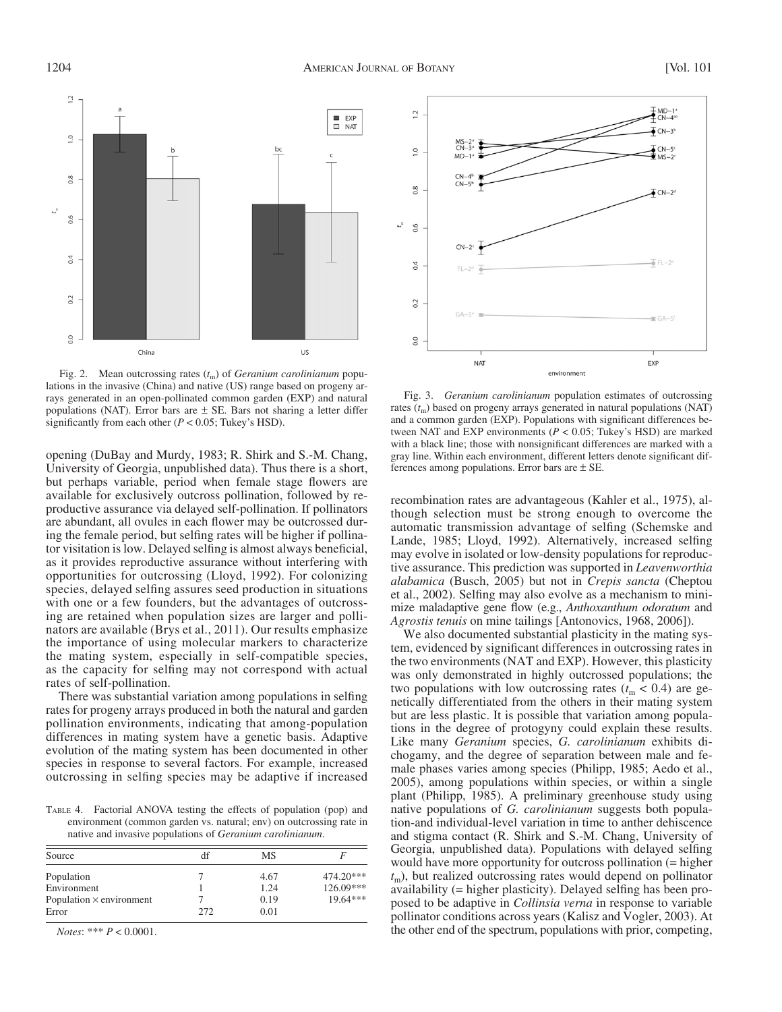

Fig. 2. Mean outcrossing rates  $(t_m)$  of *Geranium carolinianum* populations in the invasive (China) and native (US) range based on progeny arrays generated in an open-pollinated common garden (EXP) and natural populations (NAT). Error bars are  $\pm$  SE. Bars not sharing a letter differ significantly from each other ( $P < 0.05$ ; Tukey's HSD).

opening (DuBay and Murdy, 1983; R. Shirk and S.-M. Chang, University of Georgia, unpublished data). Thus there is a short, but perhaps variable, period when female stage flowers are available for exclusively outcross pollination, followed by reproductive assurance via delayed self-pollination. If pollinators are abundant, all ovules in each flower may be outcrossed during the female period, but selfing rates will be higher if pollinator visitation is low. Delayed selfing is almost always beneficial, as it provides reproductive assurance without interfering with opportunities for outcrossing (Lloyd, 1992). For colonizing species, delayed selfing assures seed production in situations with one or a few founders, but the advantages of outcrossing are retained when population sizes are larger and pollinators are available (Brys et al., 2011). Our results emphasize the importance of using molecular markers to characterize the mating system, especially in self-compatible species, as the capacity for selfing may not correspond with actual rates of self-pollination.

There was substantial variation among populations in selfing rates for progeny arrays produced in both the natural and garden pollination environments, indicating that among-population differences in mating system have a genetic basis. Adaptive evolution of the mating system has been documented in other species in response to several factors. For example, increased outcrossing in selfing species may be adaptive if increased

 TABLE 4. Factorial ANOVA testing the effects of population (pop) and environment (common garden vs. natural; env) on outcrossing rate in native and invasive populations of *Geranium carolinianum* .

| Source                          | df   | МS   |             |
|---------------------------------|------|------|-------------|
| Population                      |      | 4.67 | $474.20***$ |
| Environment                     |      | 1.24 | $126.09***$ |
| Population $\times$ environment |      | 0.19 | $19.64***$  |
| Error                           | 272. | 0.01 |             |

*Notes*: \*\*\* *P* < 0.0001.



 Fig. 3. *Geranium carolinianum* population estimates of outcrossing rates  $(t<sub>m</sub>)$  based on progeny arrays generated in natural populations (NAT) and a common garden (EXP). Populations with significant differences between NAT and EXP environments ( $P < 0.05$ ; Tukey's HSD) are marked with a black line; those with nonsignificant differences are marked with a gray line. Within each environment, different letters denote significant differences among populations. Error bars are  $\pm$  SE.

recombination rates are advantageous (Kahler et al., 1975), although selection must be strong enough to overcome the automatic transmission advantage of selfing (Schemske and Lande, 1985; Lloyd, 1992). Alternatively, increased selfing may evolve in isolated or low-density populations for reproductive assurance. This prediction was supported in *Leavenworthia alabamica* ( Busch, 2005 ) but not in *Crepis sancta* ( Cheptou et al., 2002). Selfing may also evolve as a mechanism to minimize maladaptive gene flow (e.g., *Anthoxanthum odoratum* and Agrostis tenuis on mine tailings [Antonovics, 1968, 2006]).

 We also documented substantial plasticity in the mating system, evidenced by significant differences in outcrossing rates in the two environments (NAT and EXP). However, this plasticity was only demonstrated in highly outcrossed populations; the two populations with low outcrossing rates  $(t_m < 0.4)$  are genetically differentiated from the others in their mating system but are less plastic. It is possible that variation among populations in the degree of protogyny could explain these results. Like many *Geranium* species, *G. carolinianum* exhibits dichogamy, and the degree of separation between male and female phases varies among species (Philipp, 1985; Aedo et al., 2005 ), among populations within species, or within a single plant (Philipp, 1985). A preliminary greenhouse study using native populations of *G. carolinianum* suggests both population-and individual-level variation in time to anther dehiscence and stigma contact (R. Shirk and S.-M. Chang, University of Georgia, unpublished data). Populations with delayed selfing would have more opportunity for outcross pollination (= higher  $t_{\rm m}$ ), but realized outcrossing rates would depend on pollinator availability (= higher plasticity). Delayed selfing has been proposed to be adaptive in *Collinsia verna* in response to variable pollinator conditions across years ( Kalisz and Vogler, 2003 ). At the other end of the spectrum, populations with prior, competing,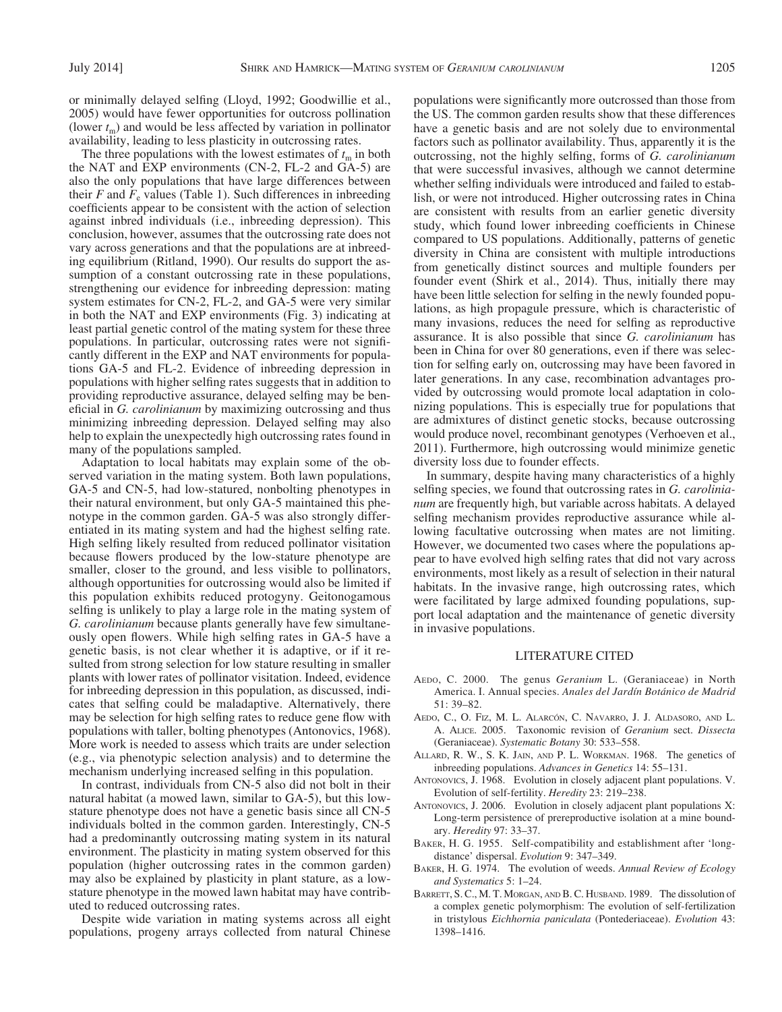or minimally delayed selfing (Lloyd, 1992; Goodwillie et al., 2005 ) would have fewer opportunities for outcross pollination (lower  $t_m$ ) and would be less affected by variation in pollinator availability, leading to less plasticity in outcrossing rates.

The three populations with the lowest estimates of  $t<sub>m</sub>$  in both the NAT and EXP environments (CN-2, FL-2 and GA-5) are also the only populations that have large differences between their *F* and  $F_e$  values (Table 1). Such differences in inbreeding coefficients appear to be consistent with the action of selection against inbred individuals (i.e., inbreeding depression). This conclusion, however, assumes that the outcrossing rate does not vary across generations and that the populations are at inbreeding equilibrium (Ritland, 1990). Our results do support the assumption of a constant outcrossing rate in these populations, strengthening our evidence for inbreeding depression: mating system estimates for CN-2, FL-2, and GA-5 were very similar in both the NAT and EXP environments (Fig. 3) indicating at least partial genetic control of the mating system for these three populations. In particular, outcrossing rates were not significantly different in the EXP and NAT environments for populations GA-5 and FL-2. Evidence of inbreeding depression in populations with higher selfing rates suggests that in addition to providing reproductive assurance, delayed selfing may be beneficial in *G. carolinianum* by maximizing outcrossing and thus minimizing inbreeding depression. Delayed selfing may also help to explain the unexpectedly high outcrossing rates found in many of the populations sampled.

 Adaptation to local habitats may explain some of the observed variation in the mating system. Both lawn populations, GA-5 and CN-5, had low-statured, nonbolting phenotypes in their natural environment, but only GA-5 maintained this phenotype in the common garden. GA-5 was also strongly differentiated in its mating system and had the highest selfing rate. High selfing likely resulted from reduced pollinator visitation because flowers produced by the low-stature phenotype are smaller, closer to the ground, and less visible to pollinators, although opportunities for outcrossing would also be limited if this population exhibits reduced protogyny. Geitonogamous selfing is unlikely to play a large role in the mating system of *G. carolinianum* because plants generally have few simultaneously open flowers. While high selfing rates in GA-5 have a genetic basis, is not clear whether it is adaptive, or if it resulted from strong selection for low stature resulting in smaller plants with lower rates of pollinator visitation. Indeed, evidence for inbreeding depression in this population, as discussed, indicates that selfing could be maladaptive. Alternatively, there may be selection for high selfing rates to reduce gene flow with populations with taller, bolting phenotypes (Antonovics, 1968). More work is needed to assess which traits are under selection (e.g., via phenotypic selection analysis) and to determine the mechanism underlying increased selfing in this population.

 In contrast, individuals from CN-5 also did not bolt in their natural habitat (a mowed lawn, similar to GA-5), but this lowstature phenotype does not have a genetic basis since all CN-5 individuals bolted in the common garden. Interestingly, CN-5 had a predominantly outcrossing mating system in its natural environment. The plasticity in mating system observed for this population (higher outcrossing rates in the common garden) may also be explained by plasticity in plant stature, as a lowstature phenotype in the mowed lawn habitat may have contributed to reduced outcrossing rates.

 Despite wide variation in mating systems across all eight populations, progeny arrays collected from natural Chinese

populations were significantly more outcrossed than those from the US. The common garden results show that these differences have a genetic basis and are not solely due to environmental factors such as pollinator availability. Thus, apparently it is the outcrossing, not the highly selfing, forms of *G. carolinianum* that were successful invasives, although we cannot determine whether selfing individuals were introduced and failed to establish, or were not introduced. Higher outcrossing rates in China are consistent with results from an earlier genetic diversity study, which found lower inbreeding coefficients in Chinese compared to US populations. Additionally, patterns of genetic diversity in China are consistent with multiple introductions from genetically distinct sources and multiple founders per founder event (Shirk et al., 2014). Thus, initially there may have been little selection for selfing in the newly founded populations, as high propagule pressure, which is characteristic of many invasions, reduces the need for selfing as reproductive assurance. It is also possible that since *G. carolinianum* has been in China for over 80 generations, even if there was selection for selfing early on, outcrossing may have been favored in later generations. In any case, recombination advantages provided by outcrossing would promote local adaptation in colonizing populations. This is especially true for populations that are admixtures of distinct genetic stocks, because outcrossing would produce novel, recombinant genotypes (Verhoeven et al., 2011). Furthermore, high outcrossing would minimize genetic diversity loss due to founder effects.

 In summary, despite having many characteristics of a highly selfing species, we found that outcrossing rates in *G. carolinianum* are frequently high, but variable across habitats. A delayed selfing mechanism provides reproductive assurance while allowing facultative outcrossing when mates are not limiting. However, we documented two cases where the populations appear to have evolved high selfing rates that did not vary across environments, most likely as a result of selection in their natural habitats. In the invasive range, high outcrossing rates, which were facilitated by large admixed founding populations, support local adaptation and the maintenance of genetic diversity in invasive populations.

#### LITERATURE CITED

- AEDO, C. 2000. The genus *Geranium* L. (Geraniaceae) in North America. I. Annual species. *Anales del Jardín Botánico de Madrid* 51: 39-82.
- AEDO, C., O. FIZ, M. L. ALARCÓN, C. NAVARRO, J. J. ALDASORO, AND L. A. ALICE . 2005 . Taxonomic revision of *Geranium* sect. *Dissecta* (Geraniaceae). *Systematic Botany* 30: 533-558.
- ALLARD, R. W., S. K. JAIN, AND P. L. WORKMAN. 1968. The genetics of inbreeding populations. *Advances in Genetics* 14: 55–131.
- ANTONOVICS, J. 1968. Evolution in closely adjacent plant populations. V. Evolution of self-fertility. *Heredity* 23: 219-238.
- ANTONOVICS, J. 2006. Evolution in closely adjacent plant populations X: Long-term persistence of prereproductive isolation at a mine boundary. *Heredity* 97: 33-37.
- BAKER, H. G. 1955. Self-compatibility and establishment after 'longdistance' dispersal. *Evolution* 9: 347-349.
- BAKER, H. G. 1974. The evolution of weeds. Annual Review of Ecology and Systematics 5: 1-24.
- BARRETT, S. C., M. T. MORGAN, AND B. C. HUSBAND. 1989. The dissolution of a complex genetic polymorphism: The evolution of self-fertilization in tristylous *Eichhornia paniculata* (Pontederiaceae). *Evolution* 43 : 1398 – 1416.